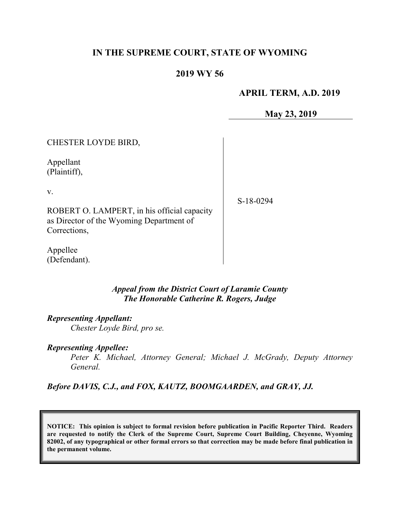## **IN THE SUPREME COURT, STATE OF WYOMING**

### **2019 WY 56**

### **APRIL TERM, A.D. 2019**

**May 23, 2019**

| CHESTER LOYDE BIRD,                                                                                     |             |
|---------------------------------------------------------------------------------------------------------|-------------|
| Appellant<br>(Plaintiff),                                                                               |             |
| V.                                                                                                      | $S-18-0294$ |
| ROBERT O. LAMPERT, in his official capacity<br>as Director of the Wyoming Department of<br>Corrections, |             |

Appellee (Defendant).

> *Appeal from the District Court of Laramie County The Honorable Catherine R. Rogers, Judge*

*Representing Appellant:*

*Chester Loyde Bird, pro se.*

#### *Representing Appellee:*

*Peter K. Michael, Attorney General; Michael J. McGrady, Deputy Attorney General.*

*Before DAVIS, C.J., and FOX, KAUTZ, BOOMGAARDEN, and GRAY, JJ.*

**NOTICE: This opinion is subject to formal revision before publication in Pacific Reporter Third. Readers are requested to notify the Clerk of the Supreme Court, Supreme Court Building, Cheyenne, Wyoming 82002, of any typographical or other formal errors so that correction may be made before final publication in the permanent volume.**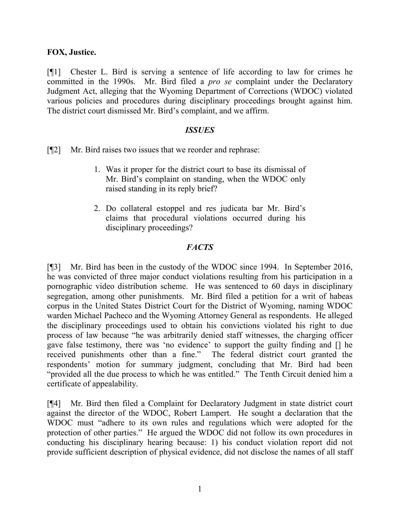### **FOX, Justice.**

[¶1] Chester L. Bird is serving a sentence of life according to law for crimes he committed in the 1990s. Mr. Bird filed a *pro se* complaint under the Declaratory Judgment Act, alleging that the Wyoming Department of Corrections (WDOC) violated various policies and procedures during disciplinary proceedings brought against him. The district court dismissed Mr. Bird's complaint, and we affirm.

#### *ISSUES*

[¶2] Mr. Bird raises two issues that we reorder and rephrase:

- 1. Was it proper for the district court to base its dismissal of Mr. Bird's complaint on standing, when the WDOC only raised standing in its reply brief?
- 2. Do collateral estoppel and res judicata bar Mr. Bird's claims that procedural violations occurred during his disciplinary proceedings?

### *FACTS*

[¶3] Mr. Bird has been in the custody of the WDOC since 1994. In September 2016, he was convicted of three major conduct violations resulting from his participation in a pornographic video distribution scheme. He was sentenced to 60 days in disciplinary segregation, among other punishments. Mr. Bird filed a petition for a writ of habeas corpus in the United States District Court for the District of Wyoming, naming WDOC warden Michael Pacheco and the Wyoming Attorney General as respondents. He alleged the disciplinary proceedings used to obtain his convictions violated his right to due process of law because "he was arbitrarily denied staff witnesses, the charging officer gave false testimony, there was 'no evidence' to support the guilty finding and [] he received punishments other than a fine." The federal district court granted the respondents' motion for summary judgment, concluding that Mr. Bird had been "provided all the due process to which he was entitled." The Tenth Circuit denied him a certificate of appealability.

[¶4] Mr. Bird then filed a Complaint for Declaratory Judgment in state district court against the director of the WDOC, Robert Lampert. He sought a declaration that the WDOC must "adhere to its own rules and regulations which were adopted for the protection of other parties." He argued the WDOC did not follow its own procedures in conducting his disciplinary hearing because: 1) his conduct violation report did not provide sufficient description of physical evidence, did not disclose the names of all staff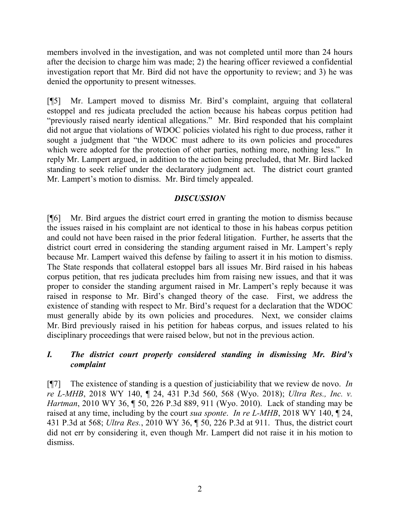members involved in the investigation, and was not completed until more than 24 hours after the decision to charge him was made; 2) the hearing officer reviewed a confidential investigation report that Mr. Bird did not have the opportunity to review; and 3) he was denied the opportunity to present witnesses.

[¶5] Mr. Lampert moved to dismiss Mr. Bird's complaint, arguing that collateral estoppel and res judicata precluded the action because his habeas corpus petition had "previously raised nearly identical allegations." Mr. Bird responded that his complaint did not argue that violations of WDOC policies violated his right to due process, rather it sought a judgment that "the WDOC must adhere to its own policies and procedures which were adopted for the protection of other parties, nothing more, nothing less." In reply Mr. Lampert argued, in addition to the action being precluded, that Mr. Bird lacked standing to seek relief under the declaratory judgment act. The district court granted Mr. Lampert's motion to dismiss. Mr. Bird timely appealed.

## *DISCUSSION*

[¶6] Mr. Bird argues the district court erred in granting the motion to dismiss because the issues raised in his complaint are not identical to those in his habeas corpus petition and could not have been raised in the prior federal litigation. Further, he asserts that the district court erred in considering the standing argument raised in Mr. Lampert's reply because Mr. Lampert waived this defense by failing to assert it in his motion to dismiss. The State responds that collateral estoppel bars all issues Mr. Bird raised in his habeas corpus petition, that res judicata precludes him from raising new issues, and that it was proper to consider the standing argument raised in Mr. Lampert's reply because it was raised in response to Mr. Bird's changed theory of the case. First, we address the existence of standing with respect to Mr. Bird's request for a declaration that the WDOC must generally abide by its own policies and procedures. Next, we consider claims Mr. Bird previously raised in his petition for habeas corpus, and issues related to his disciplinary proceedings that were raised below, but not in the previous action.

# *I. The district court properly considered standing in dismissing Mr. Bird's complaint*

[¶7] The existence of standing is a question of justiciability that we review de novo. *In re L-MHB*, 2018 WY 140, ¶ 24, 431 P.3d 560, 568 (Wyo. 2018); *Ultra Res., Inc. v. Hartman*, 2010 WY 36, ¶ 50, 226 P.3d 889, 911 (Wyo. 2010). Lack of standing may be raised at any time, including by the court *sua sponte*. *In re L-MHB*, 2018 WY 140, ¶ 24, 431 P.3d at 568; *Ultra Res.*, 2010 WY 36, ¶ 50, 226 P.3d at 911. Thus, the district court did not err by considering it, even though Mr. Lampert did not raise it in his motion to dismiss.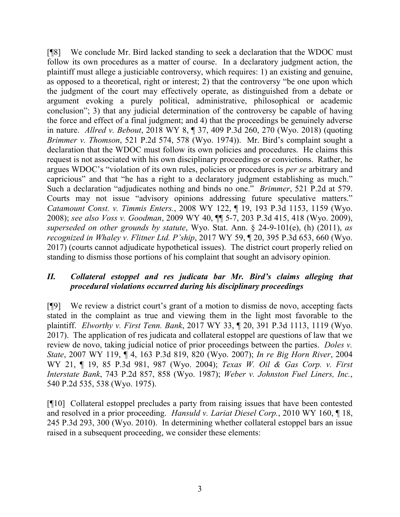[¶8] We conclude Mr. Bird lacked standing to seek a declaration that the WDOC must follow its own procedures as a matter of course. In a declaratory judgment action, the plaintiff must allege a justiciable controversy, which requires: 1) an existing and genuine, as opposed to a theoretical, right or interest; 2) that the controversy "be one upon which the judgment of the court may effectively operate, as distinguished from a debate or argument evoking a purely political, administrative, philosophical or academic conclusion"; 3) that any judicial determination of the controversy be capable of having the force and effect of a final judgment; and 4) that the proceedings be genuinely adverse in nature. *Allred v. Bebout*, 2018 WY 8, ¶ 37, 409 P.3d 260, 270 (Wyo. 2018) (quoting *Brimmer v. Thomson*, 521 P.2d 574, 578 (Wyo. 1974)). Mr. Bird's complaint sought a declaration that the WDOC must follow its own policies and procedures. He claims this request is not associated with his own disciplinary proceedings or convictions. Rather, he argues WDOC's "violation of its own rules, policies or procedures is *per se* arbitrary and capricious" and that "he has a right to a declaratory judgment establishing as much." Such a declaration "adjudicates nothing and binds no one." *Brimmer*, 521 P.2d at 579. Courts may not issue "advisory opinions addressing future speculative matters." *Catamount Const. v. Timmis Enters.*, 2008 WY 122, ¶ 19, 193 P.3d 1153, 1159 (Wyo. 2008); *see also Voss v. Goodman*, 2009 WY 40, ¶¶ 5-7, 203 P.3d 415, 418 (Wyo. 2009), *superseded on other grounds by statute*, Wyo. Stat. Ann. § 24-9-101(e), (h) (2011), *as recognized in Whaley v. Flitner Ltd. P'ship*, 2017 WY 59, ¶ 20, 395 P.3d 653, 660 (Wyo. 2017) (courts cannot adjudicate hypothetical issues). The district court properly relied on standing to dismiss those portions of his complaint that sought an advisory opinion.

### *II. Collateral estoppel and res judicata bar Mr. Bird's claims alleging that procedural violations occurred during his disciplinary proceedings*

[¶9] We review a district court's grant of a motion to dismiss de novo, accepting facts stated in the complaint as true and viewing them in the light most favorable to the plaintiff. *Elworthy v. First Tenn. Bank*, 2017 WY 33, ¶ 20, 391 P.3d 1113, 1119 (Wyo. 2017). The application of res judicata and collateral estoppel are questions of law that we review de novo, taking judicial notice of prior proceedings between the parties. *Doles v. State*, 2007 WY 119, ¶ 4, 163 P.3d 819, 820 (Wyo. 2007); *In re Big Horn River*, 2004 WY 21, ¶ 19, 85 P.3d 981, 987 (Wyo. 2004); *Texas W. Oil & Gas Corp. v. First Interstate Bank*, 743 P.2d 857, 858 (Wyo. 1987); *Weber v. Johnston Fuel Liners, Inc.*, 540 P.2d 535, 538 (Wyo. 1975).

[¶10] Collateral estoppel precludes a party from raising issues that have been contested and resolved in a prior proceeding. *Hansuld v. Lariat Diesel Corp.*, 2010 WY 160, ¶ 18, 245 P.3d 293, 300 (Wyo. 2010). In determining whether collateral estoppel bars an issue raised in a subsequent proceeding, we consider these elements: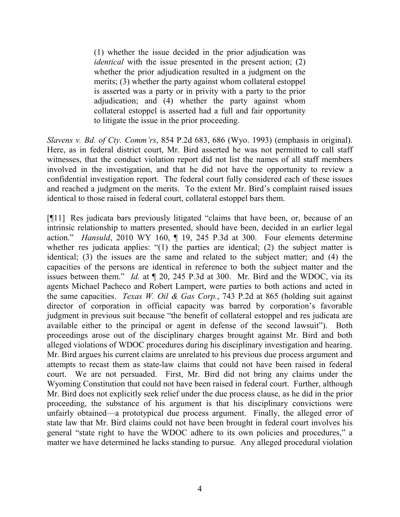(1) whether the issue decided in the prior adjudication was *identical* with the issue presented in the present action; (2) whether the prior adjudication resulted in a judgment on the merits; (3) whether the party against whom collateral estoppel is asserted was a party or in privity with a party to the prior adjudication; and (4) whether the party against whom collateral estoppel is asserted had a full and fair opportunity to litigate the issue in the prior proceeding.

*Slavens v. Bd. of Cty. Comm'rs*, 854 P.2d 683, 686 (Wyo. 1993) (emphasis in original). Here, as in federal district court, Mr. Bird asserted he was not permitted to call staff witnesses, that the conduct violation report did not list the names of all staff members involved in the investigation, and that he did not have the opportunity to review a confidential investigation report. The federal court fully considered each of these issues and reached a judgment on the merits. To the extent Mr. Bird's complaint raised issues identical to those raised in federal court, collateral estoppel bars them.

[¶11] Res judicata bars previously litigated "claims that have been, or, because of an intrinsic relationship to matters presented, should have been, decided in an earlier legal action." *Hansuld*, 2010 WY 160, ¶ 19, 245 P.3d at 300. Four elements determine whether res judicata applies: "(1) the parties are identical; (2) the subject matter is identical; (3) the issues are the same and related to the subject matter; and (4) the capacities of the persons are identical in reference to both the subject matter and the issues between them." *Id.* at ¶ 20, 245 P.3d at 300. Mr. Bird and the WDOC, via its agents Michael Pacheco and Robert Lampert, were parties to both actions and acted in the same capacities. *Texas W. Oil & Gas Corp.*, 743 P.2d at 865 (holding suit against director of corporation in official capacity was barred by corporation's favorable judgment in previous suit because "the benefit of collateral estoppel and res judicata are available either to the principal or agent in defense of the second lawsuit"). Both proceedings arose out of the disciplinary charges brought against Mr. Bird and both alleged violations of WDOC procedures during his disciplinary investigation and hearing. Mr. Bird argues his current claims are unrelated to his previous due process argument and attempts to recast them as state-law claims that could not have been raised in federal court. We are not persuaded. First, Mr. Bird did not bring any claims under the Wyoming Constitution that could not have been raised in federal court. Further, although Mr. Bird does not explicitly seek relief under the due process clause, as he did in the prior proceeding, the substance of his argument is that his disciplinary convictions were unfairly obtained—a prototypical due process argument. Finally, the alleged error of state law that Mr. Bird claims could not have been brought in federal court involves his general "state right to have the WDOC adhere to its own policies and procedures," a matter we have determined he lacks standing to pursue. Any alleged procedural violation